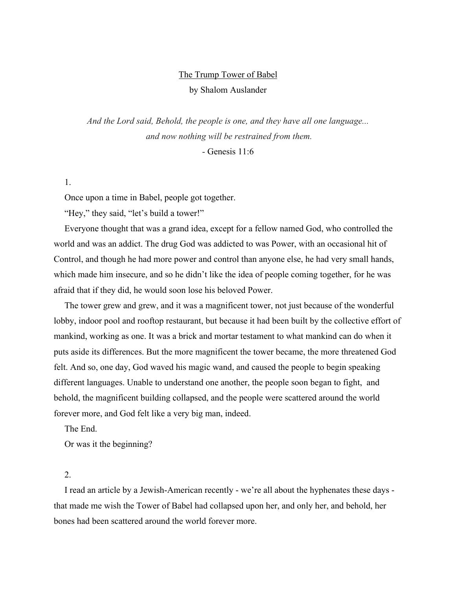# The Trump Tower of Babel

by Shalom Auslander

*And the Lord said, Behold, the people is one, and they have all one language... and now nothing will be restrained from them.*

*-* Genesis 11:6

## 1.

Once upon a time in Babel, people got together.

"Hey," they said, "let's build a tower!"

Everyone thought that was a grand idea, except for a fellow named God, who controlled the world and was an addict. The drug God was addicted to was Power, with an occasional hit of Control, and though he had more power and control than anyone else, he had very small hands, which made him insecure, and so he didn't like the idea of people coming together, for he was afraid that if they did, he would soon lose his beloved Power.

The tower grew and grew, and it was a magnificent tower, not just because of the wonderful lobby, indoor pool and rooftop restaurant, but because it had been built by the collective effort of mankind, working as one. It was a brick and mortar testament to what mankind can do when it puts aside its differences. But the more magnificent the tower became, the more threatened God felt. And so, one day, God waved his magic wand, and caused the people to begin speaking different languages. Unable to understand one another, the people soon began to fight, and behold, the magnificent building collapsed, and the people were scattered around the world forever more, and God felt like a very big man, indeed.

The End.

Or was it the beginning?

# 2.

I read an article by a Jewish-American recently - we're all about the hyphenates these days that made me wish the Tower of Babel had collapsed upon her, and only her, and behold, her bones had been scattered around the world forever more.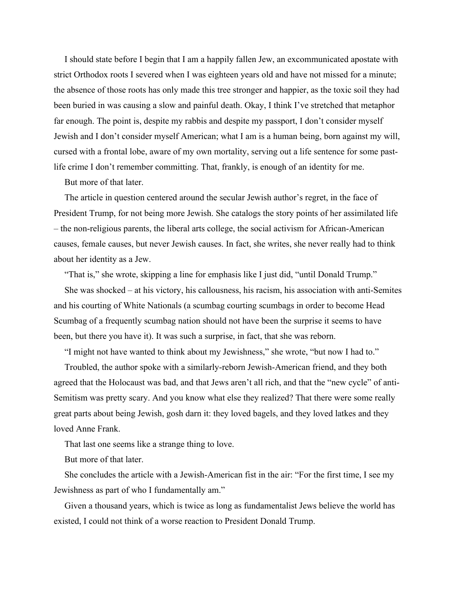I should state before I begin that I am a happily fallen Jew, an excommunicated apostate with strict Orthodox roots I severed when I was eighteen years old and have not missed for a minute; the absence of those roots has only made this tree stronger and happier, as the toxic soil they had been buried in was causing a slow and painful death. Okay, I think I've stretched that metaphor far enough. The point is, despite my rabbis and despite my passport, I don't consider myself Jewish and I don't consider myself American; what I am is a human being, born against my will, cursed with a frontal lobe, aware of my own mortality, serving out a life sentence for some pastlife crime I don't remember committing. That, frankly, is enough of an identity for me.

But more of that later.

The article in question centered around the secular Jewish author's regret, in the face of President Trump, for not being more Jewish. She catalogs the story points of her assimilated life – the non-religious parents, the liberal arts college, the social activism for African-American causes, female causes, but never Jewish causes. In fact, she writes, she never really had to think about her identity as a Jew.

"That is," she wrote, skipping a line for emphasis like I just did, "until Donald Trump."

She was shocked – at his victory, his callousness, his racism, his association with anti-Semites and his courting of White Nationals (a scumbag courting scumbags in order to become Head Scumbag of a frequently scumbag nation should not have been the surprise it seems to have been, but there you have it). It was such a surprise, in fact, that she was reborn.

"I might not have wanted to think about my Jewishness," she wrote, "but now I had to."

Troubled, the author spoke with a similarly-reborn Jewish-American friend, and they both agreed that the Holocaust was bad, and that Jews aren't all rich, and that the "new cycle" of anti-Semitism was pretty scary. And you know what else they realized? That there were some really great parts about being Jewish, gosh darn it: they loved bagels, and they loved latkes and they loved Anne Frank.

That last one seems like a strange thing to love.

But more of that later.

She concludes the article with a Jewish-American fist in the air: "For the first time, I see my Jewishness as part of who I fundamentally am."

Given a thousand years, which is twice as long as fundamentalist Jews believe the world has existed, I could not think of a worse reaction to President Donald Trump.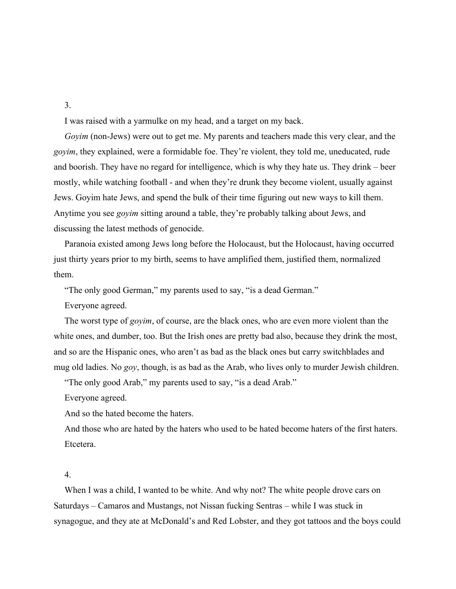#### 3.

I was raised with a yarmulke on my head, and a target on my back.

*Goyim* (non-Jews) were out to get me. My parents and teachers made this very clear, and the *goyim*, they explained, were a formidable foe. They're violent, they told me, uneducated, rude and boorish. They have no regard for intelligence, which is why they hate us. They drink – beer mostly, while watching football - and when they're drunk they become violent, usually against Jews. Goyim hate Jews, and spend the bulk of their time figuring out new ways to kill them. Anytime you see *goyim* sitting around a table, they're probably talking about Jews, and discussing the latest methods of genocide.

Paranoia existed among Jews long before the Holocaust, but the Holocaust, having occurred just thirty years prior to my birth, seems to have amplified them, justified them, normalized them.

"The only good German," my parents used to say, "is a dead German."

Everyone agreed.

The worst type of *goyim*, of course, are the black ones, who are even more violent than the white ones, and dumber, too. But the Irish ones are pretty bad also, because they drink the most, and so are the Hispanic ones, who aren't as bad as the black ones but carry switchblades and mug old ladies. No *goy*, though, is as bad as the Arab, who lives only to murder Jewish children.

"The only good Arab," my parents used to say, "is a dead Arab."

Everyone agreed.

And so the hated become the haters.

And those who are hated by the haters who used to be hated become haters of the first haters. Etcetera.

## 4.

When I was a child, I wanted to be white. And why not? The white people drove cars on Saturdays – Camaros and Mustangs, not Nissan fucking Sentras – while I was stuck in synagogue, and they ate at McDonald's and Red Lobster, and they got tattoos and the boys could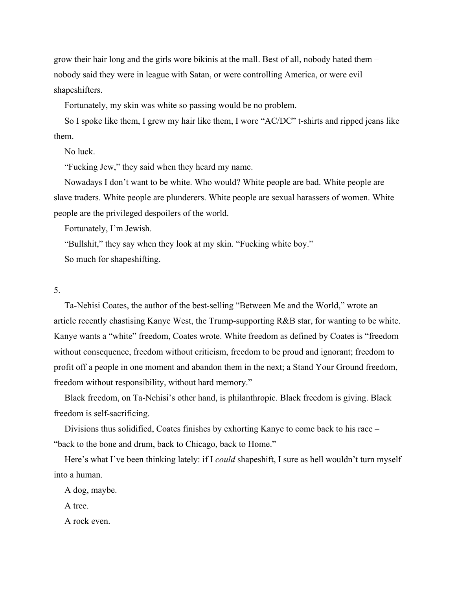grow their hair long and the girls wore bikinis at the mall. Best of all, nobody hated them – nobody said they were in league with Satan, or were controlling America, or were evil shapeshifters.

Fortunately, my skin was white so passing would be no problem.

So I spoke like them, I grew my hair like them, I wore "AC/DC" t-shirts and ripped jeans like them.

No luck.

"Fucking Jew," they said when they heard my name.

Nowadays I don't want to be white. Who would? White people are bad. White people are slave traders. White people are plunderers. White people are sexual harassers of women. White people are the privileged despoilers of the world.

Fortunately, I'm Jewish.

"Bullshit," they say when they look at my skin. "Fucking white boy."

So much for shapeshifting.

#### 5.

Ta-Nehisi Coates, the author of the best-selling "Between Me and the World," wrote an article recently chastising Kanye West, the Trump-supporting R&B star, for wanting to be white. Kanye wants a "white" freedom, Coates wrote. White freedom as defined by Coates is "freedom without consequence, freedom without criticism, freedom to be proud and ignorant; freedom to profit off a people in one moment and abandon them in the next; a Stand Your Ground freedom, freedom without responsibility, without hard memory."

Black freedom, on Ta-Nehisi's other hand, is philanthropic. Black freedom is giving. Black freedom is self-sacrificing.

Divisions thus solidified, Coates finishes by exhorting Kanye to come back to his race – "back to the bone and drum, back to Chicago, back to Home."

Here's what I've been thinking lately: if I *could* shapeshift, I sure as hell wouldn't turn myself into a human.

A dog, maybe.

A tree.

A rock even.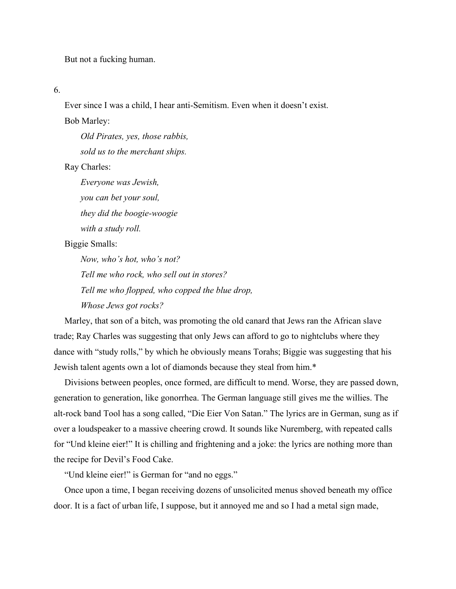But not a fucking human.

6.

Ever since I was a child, I hear anti-Semitism. Even when it doesn't exist.

Bob Marley:

*Old Pirates, yes, those rabbis, sold us to the merchant ships.*

Ray Charles:

*Everyone was Jewish, you can bet your soul, they did the boogie-woogie with a study roll.*

Biggie Smalls:

*Now, who's hot, who's not? Tell me who rock, who sell out in stores? Tell me who flopped, who copped the blue drop,*

*Whose Jews got rocks?*

Marley, that son of a bitch, was promoting the old canard that Jews ran the African slave trade; Ray Charles was suggesting that only Jews can afford to go to nightclubs where they dance with "study rolls," by which he obviously means Torahs; Biggie was suggesting that his Jewish talent agents own a lot of diamonds because they steal from him.\*

Divisions between peoples, once formed, are difficult to mend. Worse, they are passed down, generation to generation, like gonorrhea. The German language still gives me the willies. The alt-rock band Tool has a song called, "Die Eier Von Satan." The lyrics are in German, sung as if over a loudspeaker to a massive cheering crowd. It sounds like Nuremberg, with repeated calls for "Und kleine eier!" It is chilling and frightening and a joke: the lyrics are nothing more than the recipe for Devil's Food Cake.

"Und kleine eier!" is German for "and no eggs."

Once upon a time, I began receiving dozens of unsolicited menus shoved beneath my office door. It is a fact of urban life, I suppose, but it annoyed me and so I had a metal sign made,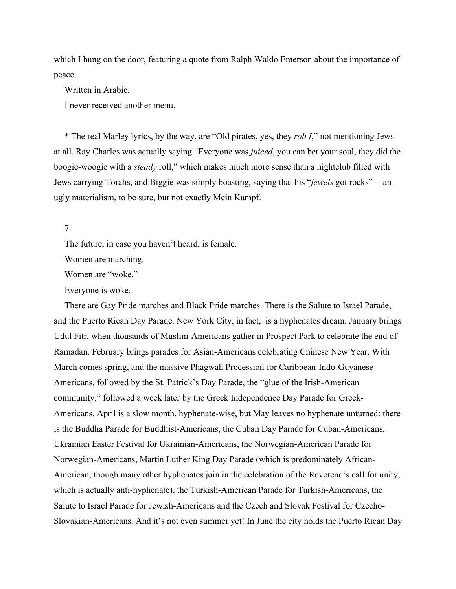which I hung on the door, featuring a quote from Ralph Waldo Emerson about the importance of peace.

Written in Arabic.

I never received another menu.

\* The real Marley lyrics, by the way, are "Old pirates, yes, they *rob I*," not mentioning Jews at all. Ray Charles was actually saying "Everyone was *juiced*, you can bet your soul, they did the boogie-woogie with a *steady* roll," which makes much more sense than a nightclub filled with Jews carrying Torahs, and Biggie was simply boasting, saying that his "*jewels* got rocks" -- an ugly materialism, to be sure, but not exactly Mein Kampf.

7.

The future, in case you haven't heard, is female.

Women are marching.

Women are "woke."

Everyone is woke.

There are Gay Pride marches and Black Pride marches. There is the Salute to Israel Parade, and the Puerto Rican Day Parade. New York City, in fact, is a hyphenates dream. January brings Udul Fitr, when thousands of Muslim-Americans gather in Prospect Park to celebrate the end of Ramadan. February brings parades for Asian-Americans celebrating Chinese New Year. With March comes spring, and the massive Phagwah Procession for Caribbean-Indo-Guyanese-Americans, followed by the St. Patrick's Day Parade, the "glue of the Irish-American community," followed a week later by the Greek Independence Day Parade for Greek-Americans. April is a slow month, hyphenate-wise, but May leaves no hyphenate unturned: there is the Buddha Parade for Buddhist-Americans, the Cuban Day Parade for Cuban-Americans, Ukrainian Easter Festival for Ukrainian-Americans, the Norwegian-American Parade for Norwegian-Americans, Martin Luther King Day Parade (which is predominately African-American, though many other hyphenates join in the celebration of the Reverend's call for unity, which is actually anti-hyphenate), the Turkish-American Parade for Turkish-Americans, the Salute to Israel Parade for Jewish-Americans and the Czech and Slovak Festival for Czecho-Slovakian-Americans. And it's not even summer yet! In June the city holds the Puerto Rican Day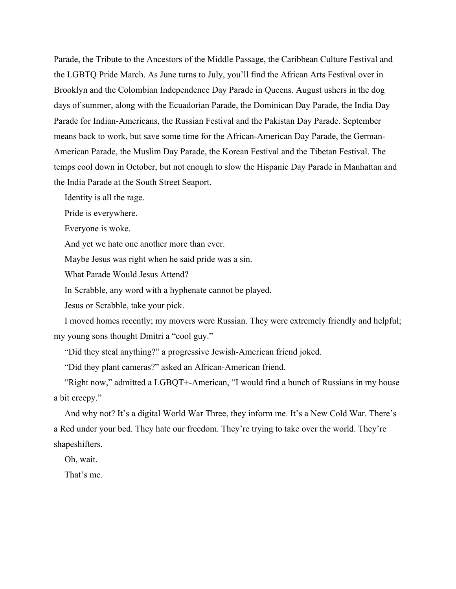Parade, the Tribute to the Ancestors of the Middle Passage, the Caribbean Culture Festival and the LGBTQ Pride March. As June turns to July, you'll find the African Arts Festival over in Brooklyn and the Colombian Independence Day Parade in Queens. August ushers in the dog days of summer, along with the Ecuadorian Parade, the Dominican Day Parade, the India Day Parade for Indian-Americans, the Russian Festival and the Pakistan Day Parade. September means back to work, but save some time for the African-American Day Parade, the German-American Parade, the Muslim Day Parade, the Korean Festival and the Tibetan Festival. The temps cool down in October, but not enough to slow the Hispanic Day Parade in Manhattan and the India Parade at the South Street Seaport.

Identity is all the rage.

Pride is everywhere.

Everyone is woke.

And yet we hate one another more than ever.

Maybe Jesus was right when he said pride was a sin.

What Parade Would Jesus Attend?

In Scrabble, any word with a hyphenate cannot be played.

Jesus or Scrabble, take your pick.

I moved homes recently; my movers were Russian. They were extremely friendly and helpful; my young sons thought Dmitri a "cool guy."

"Did they steal anything?" a progressive Jewish-American friend joked.

"Did they plant cameras?" asked an African-American friend.

"Right now," admitted a LGBQT+-American, "I would find a bunch of Russians in my house a bit creepy."

And why not? It's a digital World War Three, they inform me. It's a New Cold War. There's a Red under your bed. They hate our freedom. They're trying to take over the world. They're shapeshifters.

Oh, wait.

That's me.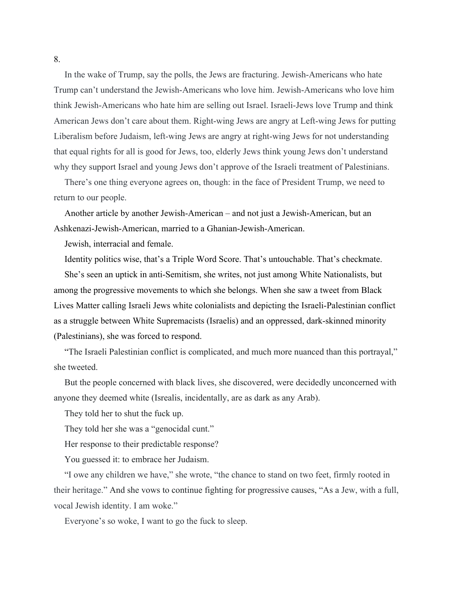In the wake of Trump, say the polls, the Jews are fracturing. Jewish-Americans who hate Trump can't understand the Jewish-Americans who love him. Jewish-Americans who love him think Jewish-Americans who hate him are selling out Israel. Israeli-Jews love Trump and think American Jews don't care about them. Right-wing Jews are angry at Left-wing Jews for putting Liberalism before Judaism, left-wing Jews are angry at right-wing Jews for not understanding that equal rights for all is good for Jews, too, elderly Jews think young Jews don't understand why they support Israel and young Jews don't approve of the Israeli treatment of Palestinians.

There's one thing everyone agrees on, though: in the face of President Trump, we need to return to our people.

Another article by another Jewish-American – and not just a Jewish-American, but an Ashkenazi-Jewish-American, married to a Ghanian-Jewish-American.

Jewish, interracial and female.

Identity politics wise, that's a Triple Word Score. That's untouchable. That's checkmate.

She's seen an uptick in anti-Semitism, she writes, not just among White Nationalists, but among the progressive movements to which she belongs. When she saw a tweet from Black Lives Matter calling Israeli Jews white colonialists and depicting the Israeli-Palestinian conflict as a struggle between White Supremacists (Israelis) and an oppressed, dark-skinned minority (Palestinians), she was forced to respond.

"The Israeli Palestinian conflict is complicated, and much more nuanced than this portrayal," she tweeted.

But the people concerned with black lives, she discovered, were decidedly unconcerned with anyone they deemed white (Isrealis, incidentally, are as dark as any Arab).

They told her to shut the fuck up.

They told her she was a "genocidal cunt."

Her response to their predictable response?

You guessed it: to embrace her Judaism.

"I owe any children we have," she wrote, "the chance to stand on two feet, firmly rooted in their heritage." And she vows to continue fighting for progressive causes, "As a Jew, with a full, vocal Jewish identity. I am woke."

Everyone's so woke, I want to go the fuck to sleep.

8.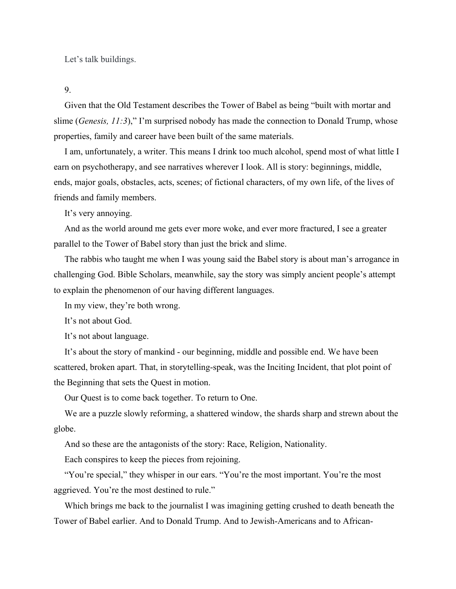Let's talk buildings.

9.

Given that the Old Testament describes the Tower of Babel as being "built with mortar and slime (*Genesis, 11:3*)," I'm surprised nobody has made the connection to Donald Trump, whose properties, family and career have been built of the same materials.

I am, unfortunately, a writer. This means I drink too much alcohol, spend most of what little I earn on psychotherapy, and see narratives wherever I look. All is story: beginnings, middle, ends, major goals, obstacles, acts, scenes; of fictional characters, of my own life, of the lives of friends and family members.

It's very annoying.

And as the world around me gets ever more woke, and ever more fractured, I see a greater parallel to the Tower of Babel story than just the brick and slime.

The rabbis who taught me when I was young said the Babel story is about man's arrogance in challenging God. Bible Scholars, meanwhile, say the story was simply ancient people's attempt to explain the phenomenon of our having different languages.

In my view, they're both wrong.

It's not about God.

It's not about language.

It's about the story of mankind - our beginning, middle and possible end. We have been scattered, broken apart. That, in storytelling-speak, was the Inciting Incident, that plot point of the Beginning that sets the Quest in motion.

Our Quest is to come back together. To return to One.

We are a puzzle slowly reforming, a shattered window, the shards sharp and strewn about the globe.

And so these are the antagonists of the story: Race, Religion, Nationality.

Each conspires to keep the pieces from rejoining.

"You're special," they whisper in our ears. "You're the most important. You're the most aggrieved. You're the most destined to rule."

Which brings me back to the journalist I was imagining getting crushed to death beneath the Tower of Babel earlier. And to Donald Trump. And to Jewish-Americans and to African